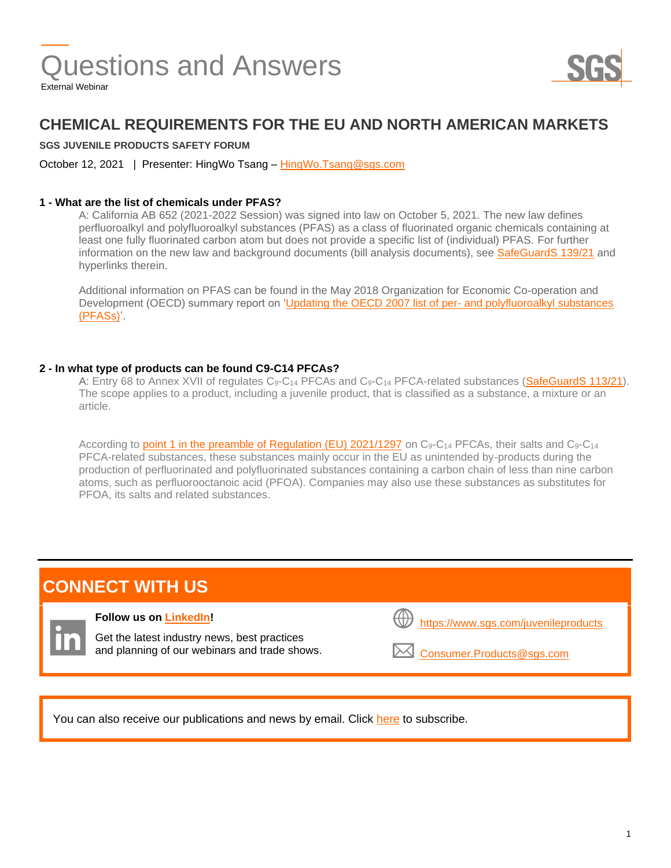

### **CHEMICAL REQUIREMENTS FOR THE EU AND NORTH AMERICAN MARKETS**

#### **SGS JUVENILE PRODUCTS SAFETY FORUM**

October 12, 2021 | Presenter: HingWo Tsang – [HingWo.Tsang@sgs.com](mailto:HingWo.Tsang@sgs.com)

#### **1 - What are the list of chemicals under PFAS?**

A: California AB 652 (2021-2022 Session) was signed into law on October 5, 2021. The new law defines perfluoroalkyl and polyfluoroalkyl substances (PFAS) as a class of fluorinated organic chemicals containing at least one fully fluorinated carbon atom but does not provide a specific list of (individual) PFAS. For further information on the new law and background documents (bill analysis documents), see [SafeGuardS](https://www.sgs.com/en/news/2021/10/safeguards-13921-california-usa-regulates-pfas-in-juvenile-products) 139/21 and hyperlinks therein.

Additional information on PFAS can be found in the May 2018 Organization for Economic Co-operation and Development (OECD) summary report on ['Updating the OECD 2007 list of per-](https://www.oecd.org/officialdocuments/publicdisplaydocumentpdf/?cote=ENV-JM-MONO(2018)7&doclanguage=en) and polyfluoroalkyl substances [\(PFASs\)'.](https://www.oecd.org/officialdocuments/publicdisplaydocumentpdf/?cote=ENV-JM-MONO(2018)7&doclanguage=en)

#### **2 - In what type of products can be found C9-C14 PFCAs?**

A: Entry 68 to Annex XVII of regulates C<sub>9</sub>-C<sub>14</sub> PFCAs and C<sub>9</sub>-C<sub>14</sub> PFCA-related substances [\(SafeGuardS 113/21\)](https://www.sgs.com/en/news/2021/08/safeguards-11321-eu-regulates-c9-c14-perfluorocarboxylic-acids-under-reach?dc=http&lb=). The scope applies to a product, including a juvenile product, that is classified as a substance, a mixture or an article.

According to [point 1 in the preamble of Regulation \(EU\) 2021/1297](https://eur-lex.europa.eu/legal-content/EN/TXT/PDF/?uri=CELEX:32021R1297&from=EN) on  $C_9$ -C<sub>14</sub> PFCAs, their salts and  $C_9$ -C<sub>14</sub> PFCA-related substances, these substances mainly occur in the EU as unintended by-products during the production of perfluorinated and polyfluorinated substances containing a carbon chain of less than nine carbon atoms, such as perfluorooctanoic acid (PFOA). Companies may also use these substances as substitutes for PFOA, its salts and related substances.

## **CONNECT WITH US**

#### **Follow us on [LinkedIn!](https://www.linkedin.com/showcase/sgs-connectivity-and-products)**

Get the latest industry news, best practices and planning of our webinars and trade shows.

| $\overline{\mathcal{V}}$ https://www.sgs.com/juvenileproducts |  |
|---------------------------------------------------------------|--|
|                                                               |  |

[Consumer.Products@sgs.com](mailto:Consumer.Products@sgs.com)

You can also receive our publications and news by email. Click [here](http://www.sgs.com/subscribe) to subscribe.